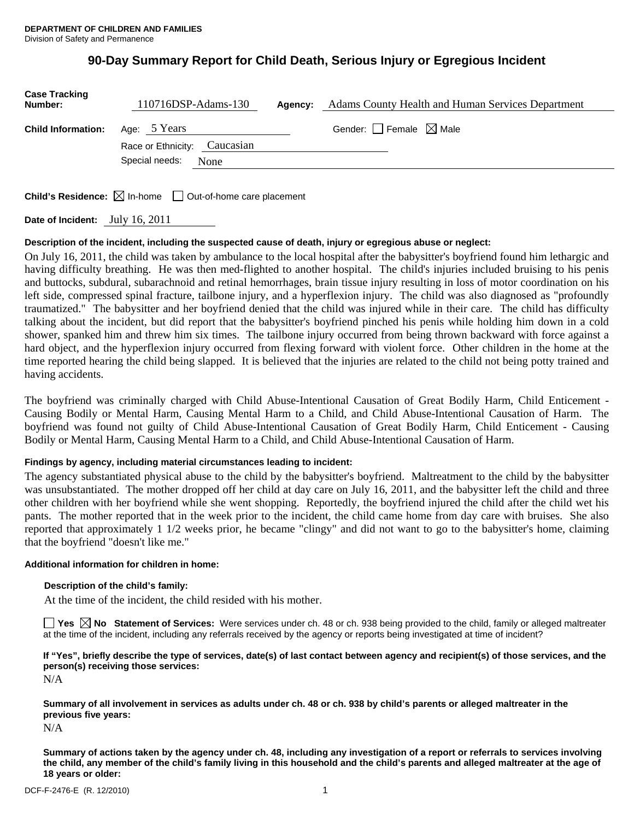# **90-Day Summary Report for Child Death, Serious Injury or Egregious Incident**

| <b>Case Tracking</b><br>Number: | 110716DSP-Adams-130          | Agency: | <b>Adams County Health and Human Services Department</b> |
|---------------------------------|------------------------------|---------|----------------------------------------------------------|
| <b>Child Information:</b>       | Age: 5 Years                 |         | Gender: Female $\boxtimes$ Male                          |
|                                 | Race or Ethnicity: Caucasian |         |                                                          |
|                                 | Special needs:<br>None       |         |                                                          |
|                                 |                              |         |                                                          |

**Child's Residence:**  $\boxtimes$  In-home  $\Box$  Out-of-home care placement

**Date of Incident:** July 16, 2011

### **Description of the incident, including the suspected cause of death, injury or egregious abuse or neglect:**

On July 16, 2011, the child was taken by ambulance to the local hospital after the babysitter's boyfriend found him lethargic and having difficulty breathing. He was then med-flighted to another hospital. The child's injuries included bruising to his penis and buttocks, subdural, subarachnoid and retinal hemorrhages, brain tissue injury resulting in loss of motor coordination on his left side, compressed spinal fracture, tailbone injury, and a hyperflexion injury. The child was also diagnosed as "profoundly traumatized." The babysitter and her boyfriend denied that the child was injured while in their care. The child has difficulty talking about the incident, but did report that the babysitter's boyfriend pinched his penis while holding him down in a cold shower, spanked him and threw him six times. The tailbone injury occurred from being thrown backward with force against a hard object, and the hyperflexion injury occurred from flexing forward with violent force. Other children in the home at the time reported hearing the child being slapped. It is believed that the injuries are related to the child not being potty trained and having accidents.

The boyfriend was criminally charged with Child Abuse-Intentional Causation of Great Bodily Harm, Child Enticement - Causing Bodily or Mental Harm, Causing Mental Harm to a Child, and Child Abuse-Intentional Causation of Harm. The boyfriend was found not guilty of Child Abuse-Intentional Causation of Great Bodily Harm, Child Enticement - Causing Bodily or Mental Harm, Causing Mental Harm to a Child, and Child Abuse-Intentional Causation of Harm.

### **Findings by agency, including material circumstances leading to incident:**

The agency substantiated physical abuse to the child by the babysitter's boyfriend. Maltreatment to the child by the babysitter was unsubstantiated. The mother dropped off her child at day care on July 16, 2011, and the babysitter left the child and three other children with her boyfriend while she went shopping. Reportedly, the boyfriend injured the child after the child wet his pants. The mother reported that in the week prior to the incident, the child came home from day care with bruises. She also reported that approximately 1 1/2 weeks prior, he became "clingy" and did not want to go to the babysitter's home, claiming that the boyfriend "doesn't like me."

### **Additional information for children in home:**

### **Description of the child's family:**

At the time of the incident, the child resided with his mother.

**Yes No Statement of Services:** Were services under ch. 48 or ch. 938 being provided to the child, family or alleged maltreater at the time of the incident, including any referrals received by the agency or reports being investigated at time of incident?

### **If "Yes", briefly describe the type of services, date(s) of last contact between agency and recipient(s) of those services, and the person(s) receiving those services:**

N/A

**Summary of all involvement in services as adults under ch. 48 or ch. 938 by child's parents or alleged maltreater in the previous five years:** 

N/A

**Summary of actions taken by the agency under ch. 48, including any investigation of a report or referrals to services involving the child, any member of the child's family living in this household and the child's parents and alleged maltreater at the age of 18 years or older:**